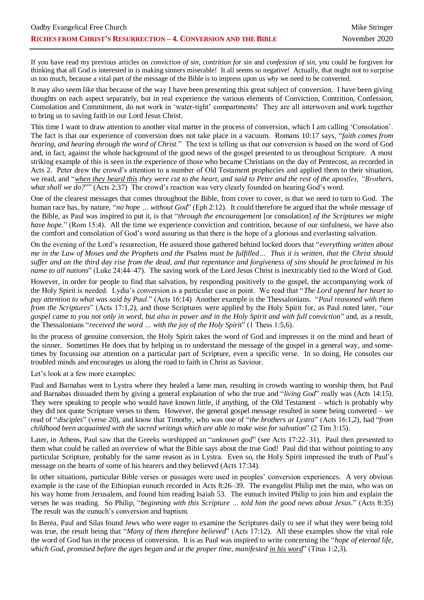If you have read my previous articles on *conviction of sin*, *contrition for sin* and *confession of sin*, you could be forgiven for thinking that all God is interested in is making sinners miserable! It all seems so negative! Actually, that ought not to surprise us too much, because a vital part of the message of the Bible is to impress upon us *why* we need to be converted.

It may also seem like that because of the way I have been presenting this great subject of conversion. I have been giving thoughts on each aspect separately, but in real experience the various elements of Conviction, Contrition, Confession, Consolation and Commitment, do not work in 'water-tight' compartments! They are all interwoven and work together to bring us to saving faith in our Lord Jesus Christ.

This time I want to draw attention to another vital matter in the process of conversion, which I am calling 'Consolation'. The fact is that our experience of conversion does not take place in a vacuum. Romans 10:17 says, "*faith comes from hearing, and hearing through the word of Christ*." The text is telling us that our conversion is based on the word of God and, in fact, against the whole background of the good news of the gospel presented to us throughout Scripture. A most striking example of this is seen in the experience of those who became Christians on the day of Pentecost, as recorded in Acts 2. Peter drew the crowd's attention to a number of Old Testament prophecies and applied them to their situation, we read, and "*when they heard this they were cut to the heart, and said to Peter and the rest of the apostles, "Brothers, what shall we do?*"" (Acts 2:37) The crowd's reaction was very clearly founded on hearing God's word.

One of the clearest messages that comes throughout the Bible, from cover to cover, is that we need to turn to God. The human race has, by nature, "*no hope … without God*" (Eph 2:12). It could therefore be argued that the whole message of the Bible, as Paul was inspired to put it, is that "*through the encouragement* [or consolation] *of the Scriptures we might have hope.*" (Rom 15:4). All the time we experience conviction and contrition, because of our sinfulness, we have also the comfort and consolation of God's word assuring us that there is the hope of a glorious and everlasting salvation.

On the evening of the Lord's resurrection, He assured those gathered behind locked doors that "*everything written about me in the Law of Moses and the Prophets and the Psalms must be fulfilled… Thus it is written, that the Christ should suffer and on the third day rise from the dead, and that repentance and forgiveness of sins should be proclaimed in his name to all nations*" (Luke 24:44–47). The saving work of the Lord Jesus Christ is inextricably tied to the Word of God.

However, in order for people to find that salvation, by responding positively to the gospel, the accompanying work of the Holy Spirit is needed. Lydia's conversion is a particular case in point. We read that "*The Lord opened her heart to pay attention to what was said by Paul*." (Acts 16:14) Another example is the Thessalonians. "*Paul reasoned with them from the Scriptures*" (Acts 17:1,2), and those Scriptures were applied by the Holy Spirit for, as Paul noted later, "*our gospel came to you not only in word, but also in power and in the Holy Spirit and with full conviction*" and, as a result, the Thessalonians "*received the word … with the joy of the Holy Spirit*" (1 Thess 1:5,6).

In the process of genuine conversion, the Holy Spirit takes the word of God and impresses it on the mind and heart of the sinner. Sometimes He does that by helping us to understand the message of the gospel in a general way, and sometimes by focussing our attention on a particular part of Scripture, even a specific verse. In so doing, He consoles our troubled minds and encourages us along the road to faith in Christ as Saviour.

Let's look at a few more examples:

Paul and Barnabas went to Lystra where they healed a lame man, resulting in crowds wanting to worship them, but Paul and Barnabas dissuaded them by giving a general explanation of who the true and "*living God*" really was (Acts 14:15). They were speaking to people who would have known little, if anything, of the Old Testament – which is probably why they did not quote Scripture verses to them. However, the general gospel message resulted in some being converted – we read of "*disciples*" (verse 20), and know that Timothy, who was one of "*the brothers at Lystra*" (Acts 16:1,2), had "*from childhood been acquainted with the sacred writings which are able to make wise for salvation*" (2 Tim 3:15).

Later, in Athens, Paul saw that the Greeks worshipped an "*unknown god*" (see Acts 17:22–31). Paul then presented to them what could be called an overview of what the Bible says about the true God! Paul did that without pointing to any particular Scripture, probably for the same reason as in Lystra. Even so, the Holy Spirit impressed the truth of Paul's message on the hearts of some of his hearers and they believed (Acts 17:34).

In other situations, particular Bible verses or passages were used in peoples' conversion experiences. A very obvious example is the case of the Ethiopian eunuch recorded in Acts 8:26–39. The evangelist Philip met the man, who was on his way home from Jerusalem, and found him reading Isaiah 53. The eunuch invited Philip to join him and explain the verses he was reading. So Philip, "*beginning with this Scripture … told him the good news about Jesus.*" (Acts 8:35) The result was the eunuch's conversion and baptism.

In Berea, Paul and Silas found Jews who were eager to examine the Scriptures daily to see if what they were being told was true, the result being that "*Many of them therefore believed*" (Acts 17:12). All these examples show the vital role the word of God has in the process of conversion. It is as Paul was inspired to write concerning the "*hope of eternal life, which God, promised before the ages began and at the proper time, manifested in his word*" (Titus 1:2,3).